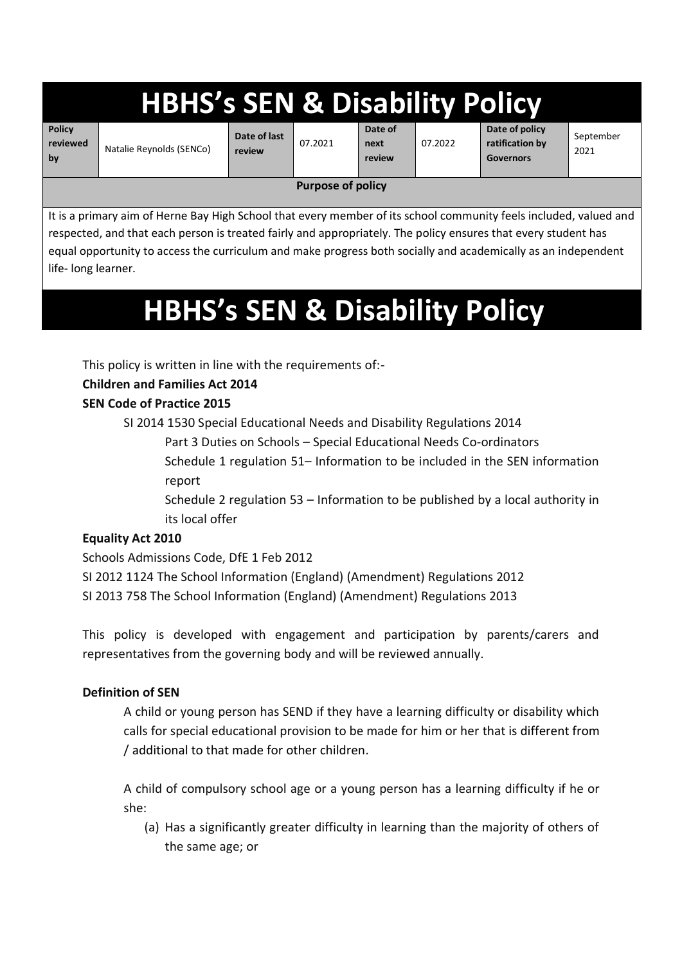# **HBHS's SEN & Disability Polic**

**Policy reviewed by**

Natalie Reynolds (SENCo)

**Date of last review**  07.2021

**Date of next review**

07.2022

**Date of policy ratification by Governors**

September 2021

#### **Purpose of policy**

It is a primary aim of Herne Bay High School that every member of its school community feels included, valued and respected, and that each person is treated fairly and appropriately. The policy ensures that every student has equal opportunity to access the curriculum and make progress both socially and academically as an independent life- long learner.

# **HBHS's SEN & Disability Policy**

This policy is written in line with the requirements of:-

## **Children and Families Act 2014**

### **SEN Code of Practice 2015**

SI 2014 1530 Special Educational Needs and Disability Regulations 2014

Part 3 Duties on Schools – Special Educational Needs Co-ordinators

Schedule 1 regulation 51– Information to be included in the SEN information report

Schedule 2 regulation 53 – Information to be published by a local authority in its local offer

## **Equality Act 2010**

Schools Admissions Code, DfE 1 Feb 2012

SI 2012 1124 The School Information (England) (Amendment) Regulations 2012

SI 2013 758 The School Information (England) (Amendment) Regulations 2013

This policy is developed with engagement and participation by parents/carers and representatives from the governing body and will be reviewed annually.

#### **Definition of SEN**

A child or young person has SEND if they have a learning difficulty or disability which calls for special educational provision to be made for him or her that is different from / additional to that made for other children.

A child of compulsory school age or a young person has a learning difficulty if he or she:

(a) Has a significantly greater difficulty in learning than the majority of others of the same age; or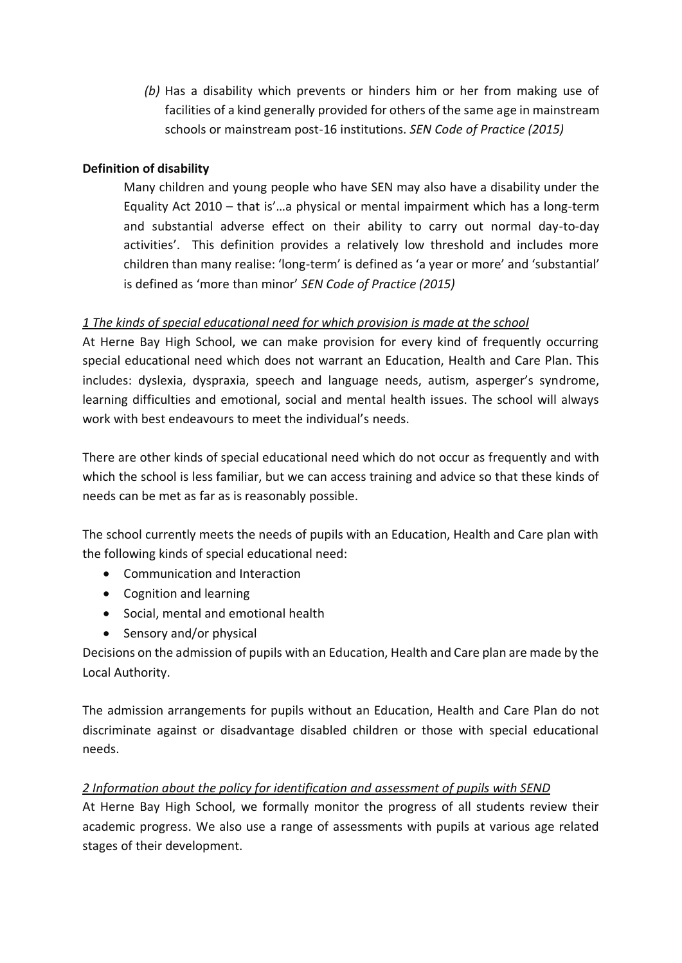*(b)* Has a disability which prevents or hinders him or her from making use of facilities of a kind generally provided for others of the same age in mainstream schools or mainstream post-16 institutions. *SEN Code of Practice (2015)*

#### **Definition of disability**

Many children and young people who have SEN may also have a disability under the Equality Act 2010 – that is'…a physical or mental impairment which has a long-term and substantial adverse effect on their ability to carry out normal day-to-day activities'. This definition provides a relatively low threshold and includes more children than many realise: 'long-term' is defined as 'a year or more' and 'substantial' is defined as 'more than minor' *SEN Code of Practice (2015)*

#### *1 The kinds of special educational need for which provision is made at the school*

At Herne Bay High School, we can make provision for every kind of frequently occurring special educational need which does not warrant an Education, Health and Care Plan. This includes: dyslexia, dyspraxia, speech and language needs, autism, asperger's syndrome, learning difficulties and emotional, social and mental health issues. The school will always work with best endeavours to meet the individual's needs.

There are other kinds of special educational need which do not occur as frequently and with which the school is less familiar, but we can access training and advice so that these kinds of needs can be met as far as is reasonably possible.

The school currently meets the needs of pupils with an Education, Health and Care plan with the following kinds of special educational need:

- Communication and Interaction
- Cognition and learning
- Social, mental and emotional health
- Sensory and/or physical

Decisions on the admission of pupils with an Education, Health and Care plan are made by the Local Authority.

The admission arrangements for pupils without an Education, Health and Care Plan do not discriminate against or disadvantage disabled children or those with special educational needs.

#### *2 Information about the policy for identification and assessment of pupils with SEND*

At Herne Bay High School, we formally monitor the progress of all students review their academic progress. We also use a range of assessments with pupils at various age related stages of their development.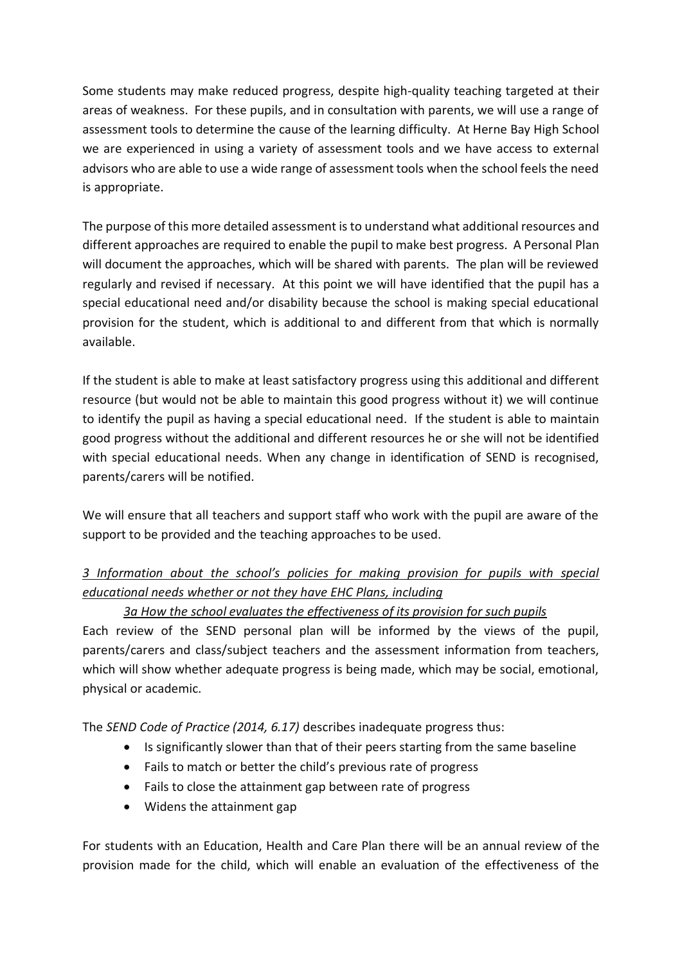Some students may make reduced progress, despite high-quality teaching targeted at their areas of weakness. For these pupils, and in consultation with parents, we will use a range of assessment tools to determine the cause of the learning difficulty. At Herne Bay High School we are experienced in using a variety of assessment tools and we have access to external advisors who are able to use a wide range of assessment tools when the school feels the need is appropriate.

The purpose of this more detailed assessment is to understand what additional resources and different approaches are required to enable the pupil to make best progress. A Personal Plan will document the approaches, which will be shared with parents. The plan will be reviewed regularly and revised if necessary. At this point we will have identified that the pupil has a special educational need and/or disability because the school is making special educational provision for the student, which is additional to and different from that which is normally available.

If the student is able to make at least satisfactory progress using this additional and different resource (but would not be able to maintain this good progress without it) we will continue to identify the pupil as having a special educational need. If the student is able to maintain good progress without the additional and different resources he or she will not be identified with special educational needs. When any change in identification of SEND is recognised, parents/carers will be notified.

We will ensure that all teachers and support staff who work with the pupil are aware of the support to be provided and the teaching approaches to be used.

## *3 Information about the school's policies for making provision for pupils with special educational needs whether or not they have EHC Plans, including*

#### *3a How the school evaluates the effectiveness of its provision for such pupils*

Each review of the SEND personal plan will be informed by the views of the pupil, parents/carers and class/subject teachers and the assessment information from teachers, which will show whether adequate progress is being made, which may be social, emotional, physical or academic.

The *SEND Code of Practice (2014, 6.17)* describes inadequate progress thus:

- Is significantly slower than that of their peers starting from the same baseline
- Fails to match or better the child's previous rate of progress
- Fails to close the attainment gap between rate of progress
- Widens the attainment gap

For students with an Education, Health and Care Plan there will be an annual review of the provision made for the child, which will enable an evaluation of the effectiveness of the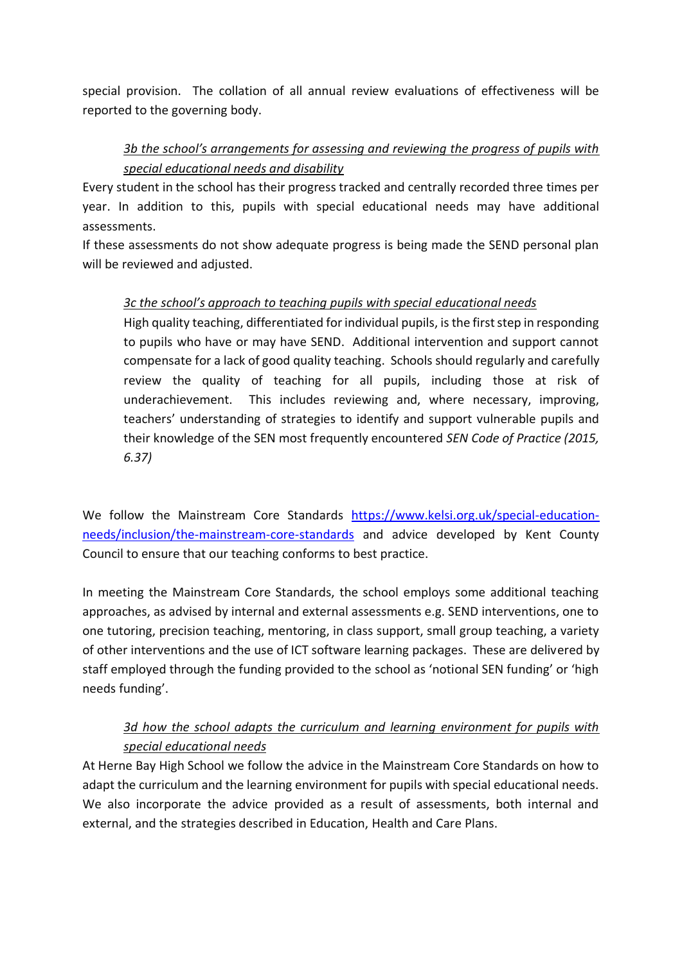special provision. The collation of all annual review evaluations of effectiveness will be reported to the governing body.

### *3b the school's arrangements for assessing and reviewing the progress of pupils with special educational needs and disability*

Every student in the school has their progress tracked and centrally recorded three times per year. In addition to this, pupils with special educational needs may have additional assessments.

If these assessments do not show adequate progress is being made the SEND personal plan will be reviewed and adjusted.

#### *3c the school's approach to teaching pupils with special educational needs*

High quality teaching, differentiated for individual pupils, is the first step in responding to pupils who have or may have SEND. Additional intervention and support cannot compensate for a lack of good quality teaching. Schools should regularly and carefully review the quality of teaching for all pupils, including those at risk of underachievement. This includes reviewing and, where necessary, improving, teachers' understanding of strategies to identify and support vulnerable pupils and their knowledge of the SEN most frequently encountered *SEN Code of Practice (2015, 6.37)*

We follow the Mainstream Core Standards [https://www.kelsi.org.uk/special-education](https://www.kelsi.org.uk/special-education-needs/inclusion/the-mainstream-core-standards)[needs/inclusion/the-mainstream-core-standards](https://www.kelsi.org.uk/special-education-needs/inclusion/the-mainstream-core-standards) and advice developed by Kent County Council to ensure that our teaching conforms to best practice.

In meeting the Mainstream Core Standards, the school employs some additional teaching approaches, as advised by internal and external assessments e.g. SEND interventions, one to one tutoring, precision teaching, mentoring, in class support, small group teaching, a variety of other interventions and the use of ICT software learning packages. These are delivered by staff employed through the funding provided to the school as 'notional SEN funding' or 'high needs funding'.

## *3d how the school adapts the curriculum and learning environment for pupils with special educational needs*

At Herne Bay High School we follow the advice in the Mainstream Core Standards on how to adapt the curriculum and the learning environment for pupils with special educational needs. We also incorporate the advice provided as a result of assessments, both internal and external, and the strategies described in Education, Health and Care Plans.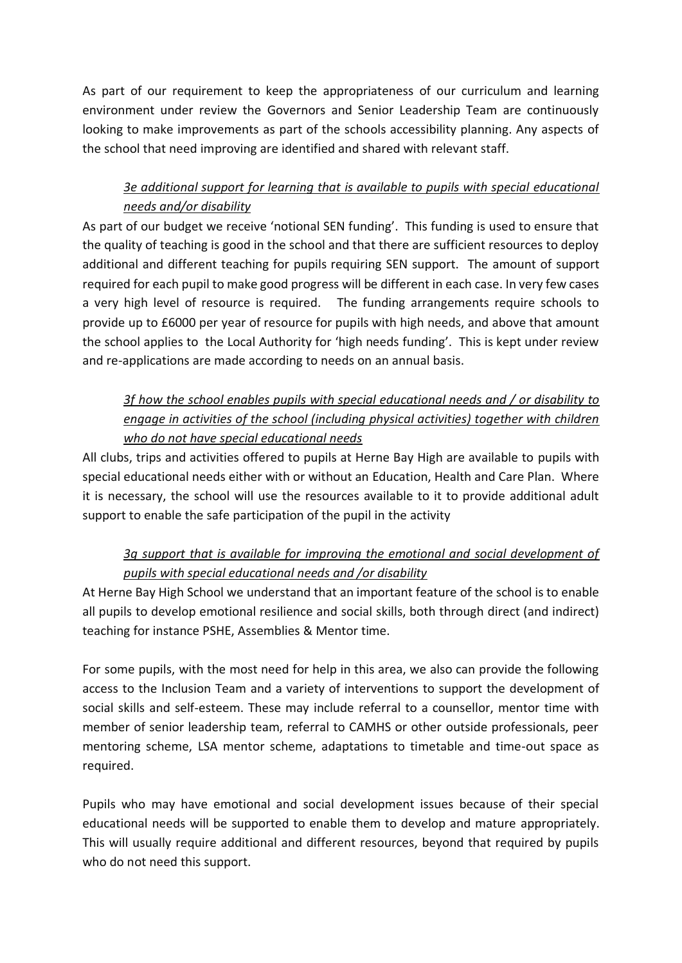As part of our requirement to keep the appropriateness of our curriculum and learning environment under review the Governors and Senior Leadership Team are continuously looking to make improvements as part of the schools accessibility planning. Any aspects of the school that need improving are identified and shared with relevant staff.

## *3e additional support for learning that is available to pupils with special educational needs and/or disability*

As part of our budget we receive 'notional SEN funding'. This funding is used to ensure that the quality of teaching is good in the school and that there are sufficient resources to deploy additional and different teaching for pupils requiring SEN support. The amount of support required for each pupil to make good progress will be different in each case. In very few cases a very high level of resource is required. The funding arrangements require schools to provide up to £6000 per year of resource for pupils with high needs, and above that amount the school applies to the Local Authority for 'high needs funding'. This is kept under review and re-applications are made according to needs on an annual basis.

## *3f how the school enables pupils with special educational needs and / or disability to engage in activities of the school (including physical activities) together with children who do not have special educational needs*

All clubs, trips and activities offered to pupils at Herne Bay High are available to pupils with special educational needs either with or without an Education, Health and Care Plan. Where it is necessary, the school will use the resources available to it to provide additional adult support to enable the safe participation of the pupil in the activity

## *3g support that is available for improving the emotional and social development of pupils with special educational needs and /or disability*

At Herne Bay High School we understand that an important feature of the school is to enable all pupils to develop emotional resilience and social skills, both through direct (and indirect) teaching for instance PSHE, Assemblies & Mentor time.

For some pupils, with the most need for help in this area, we also can provide the following access to the Inclusion Team and a variety of interventions to support the development of social skills and self-esteem. These may include referral to a counsellor, mentor time with member of senior leadership team, referral to CAMHS or other outside professionals, peer mentoring scheme, LSA mentor scheme, adaptations to timetable and time-out space as required.

Pupils who may have emotional and social development issues because of their special educational needs will be supported to enable them to develop and mature appropriately. This will usually require additional and different resources, beyond that required by pupils who do not need this support.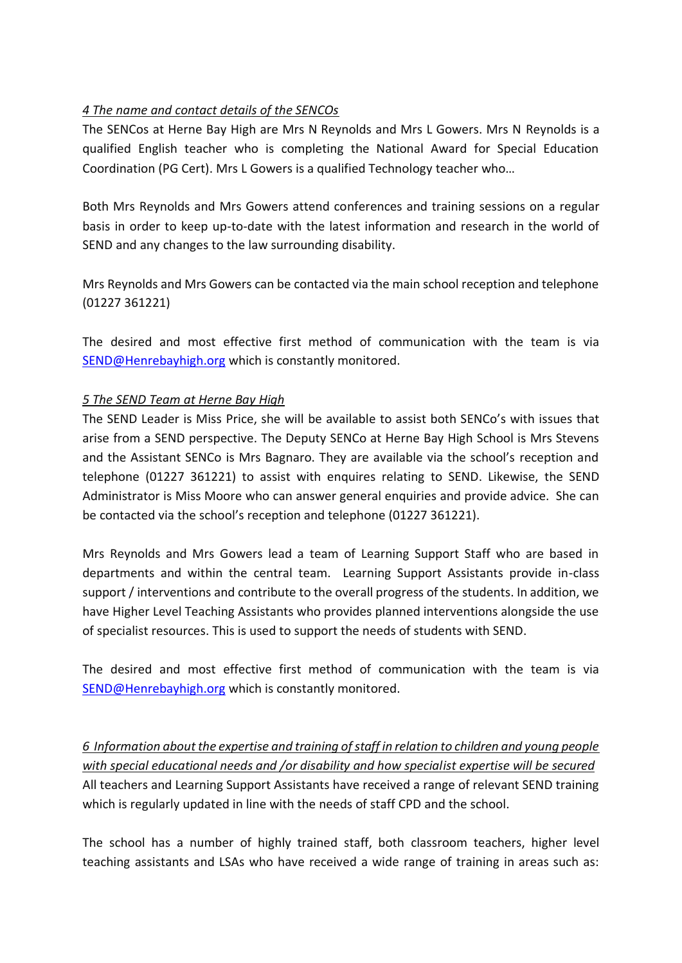#### *4 The name and contact details of the SENCOs*

The SENCos at Herne Bay High are Mrs N Reynolds and Mrs L Gowers. Mrs N Reynolds is a qualified English teacher who is completing the National Award for Special Education Coordination (PG Cert). Mrs L Gowers is a qualified Technology teacher who…

Both Mrs Reynolds and Mrs Gowers attend conferences and training sessions on a regular basis in order to keep up-to-date with the latest information and research in the world of SEND and any changes to the law surrounding disability.

Mrs Reynolds and Mrs Gowers can be contacted via the main school reception and telephone (01227 361221)

The desired and most effective first method of communication with the team is via [SEND@Henrebayhigh.org](mailto:SEND@Henrebayhigh.org) which is constantly monitored.

#### *5 The SEND Team at Herne Bay High*

The SEND Leader is Miss Price, she will be available to assist both SENCo's with issues that arise from a SEND perspective. The Deputy SENCo at Herne Bay High School is Mrs Stevens and the Assistant SENCo is Mrs Bagnaro. They are available via the school's reception and telephone (01227 361221) to assist with enquires relating to SEND. Likewise, the SEND Administrator is Miss Moore who can answer general enquiries and provide advice. She can be contacted via the school's reception and telephone (01227 361221).

Mrs Reynolds and Mrs Gowers lead a team of Learning Support Staff who are based in departments and within the central team. Learning Support Assistants provide in-class support / interventions and contribute to the overall progress of the students. In addition, we have Higher Level Teaching Assistants who provides planned interventions alongside the use of specialist resources. This is used to support the needs of students with SEND.

The desired and most effective first method of communication with the team is via [SEND@Henrebayhigh.org](mailto:SEND@Henrebayhigh.org) which is constantly monitored.

*6 Information about the expertise and training of staff in relation to children and young people with special educational needs and /or disability and how specialist expertise will be secured* All teachers and Learning Support Assistants have received a range of relevant SEND training which is regularly updated in line with the needs of staff CPD and the school.

The school has a number of highly trained staff, both classroom teachers, higher level teaching assistants and LSAs who have received a wide range of training in areas such as: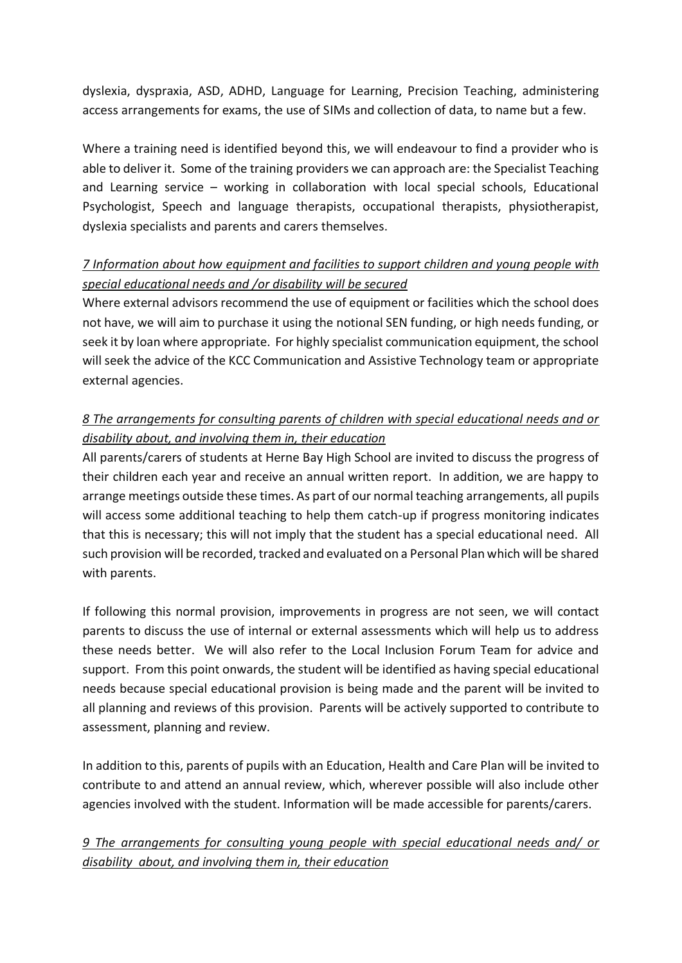dyslexia, dyspraxia, ASD, ADHD, Language for Learning, Precision Teaching, administering access arrangements for exams, the use of SIMs and collection of data, to name but a few.

Where a training need is identified beyond this, we will endeavour to find a provider who is able to deliver it. Some of the training providers we can approach are: the Specialist Teaching and Learning service – working in collaboration with local special schools, Educational Psychologist, Speech and language therapists, occupational therapists, physiotherapist, dyslexia specialists and parents and carers themselves.

## *7 Information about how equipment and facilities to support children and young people with special educational needs and /or disability will be secured*

Where external advisors recommend the use of equipment or facilities which the school does not have, we will aim to purchase it using the notional SEN funding, or high needs funding, or seek it by loan where appropriate. For highly specialist communication equipment, the school will seek the advice of the KCC Communication and Assistive Technology team or appropriate external agencies.

## *8 The arrangements for consulting parents of children with special educational needs and or disability about, and involving them in, their education*

All parents/carers of students at Herne Bay High School are invited to discuss the progress of their children each year and receive an annual written report. In addition, we are happy to arrange meetings outside these times. As part of our normal teaching arrangements, all pupils will access some additional teaching to help them catch-up if progress monitoring indicates that this is necessary; this will not imply that the student has a special educational need. All such provision will be recorded, tracked and evaluated on a Personal Plan which will be shared with parents.

If following this normal provision, improvements in progress are not seen, we will contact parents to discuss the use of internal or external assessments which will help us to address these needs better. We will also refer to the Local Inclusion Forum Team for advice and support. From this point onwards, the student will be identified as having special educational needs because special educational provision is being made and the parent will be invited to all planning and reviews of this provision. Parents will be actively supported to contribute to assessment, planning and review.

In addition to this, parents of pupils with an Education, Health and Care Plan will be invited to contribute to and attend an annual review, which, wherever possible will also include other agencies involved with the student. Information will be made accessible for parents/carers.

### *9 The arrangements for consulting young people with special educational needs and/ or disability about, and involving them in, their education*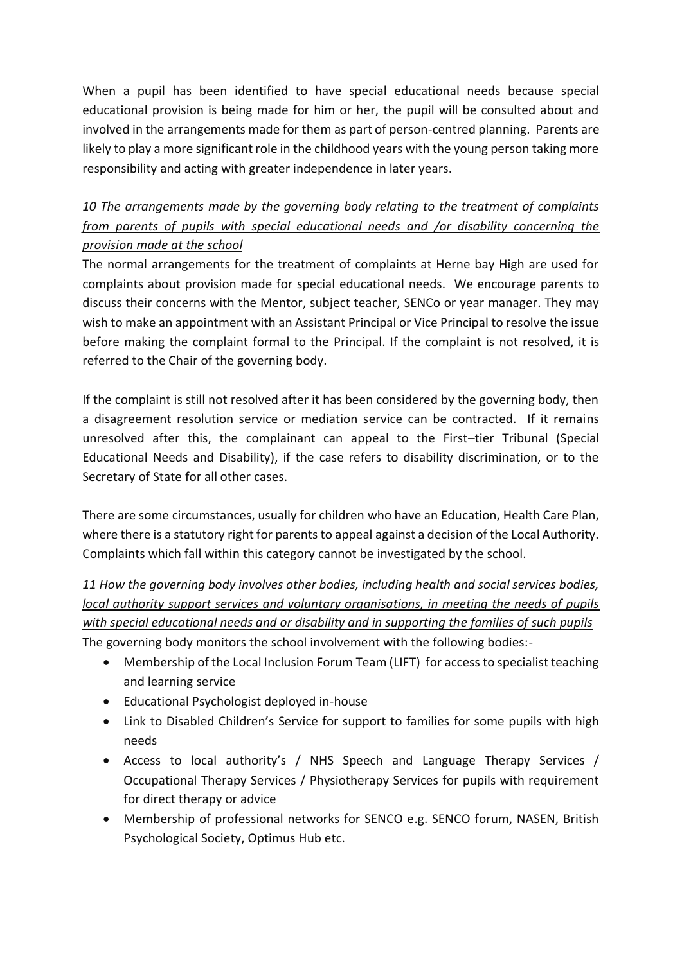When a pupil has been identified to have special educational needs because special educational provision is being made for him or her, the pupil will be consulted about and involved in the arrangements made for them as part of person-centred planning. Parents are likely to play a more significant role in the childhood years with the young person taking more responsibility and acting with greater independence in later years.

*10 The arrangements made by the governing body relating to the treatment of complaints from parents of pupils with special educational needs and /or disability concerning the provision made at the school*

The normal arrangements for the treatment of complaints at Herne bay High are used for complaints about provision made for special educational needs. We encourage parents to discuss their concerns with the Mentor, subject teacher, SENCo or year manager. They may wish to make an appointment with an Assistant Principal or Vice Principal to resolve the issue before making the complaint formal to the Principal. If the complaint is not resolved, it is referred to the Chair of the governing body.

If the complaint is still not resolved after it has been considered by the governing body, then a disagreement resolution service or mediation service can be contracted. If it remains unresolved after this, the complainant can appeal to the First–tier Tribunal (Special Educational Needs and Disability), if the case refers to disability discrimination, or to the Secretary of State for all other cases.

There are some circumstances, usually for children who have an Education, Health Care Plan, where there is a statutory right for parents to appeal against a decision of the Local Authority. Complaints which fall within this category cannot be investigated by the school.

*11 How the governing body involves other bodies, including health and social services bodies, local authority support services and voluntary organisations, in meeting the needs of pupils with special educational needs and or disability and in supporting the families of such pupils* The governing body monitors the school involvement with the following bodies:-

- Membership of the Local Inclusion Forum Team (LIFT) for access to specialist teaching and learning service
- Educational Psychologist deployed in-house
- Link to Disabled Children's Service for support to families for some pupils with high needs
- Access to local authority's / NHS Speech and Language Therapy Services / Occupational Therapy Services / Physiotherapy Services for pupils with requirement for direct therapy or advice
- Membership of professional networks for SENCO e.g. SENCO forum, NASEN, British Psychological Society, Optimus Hub etc.